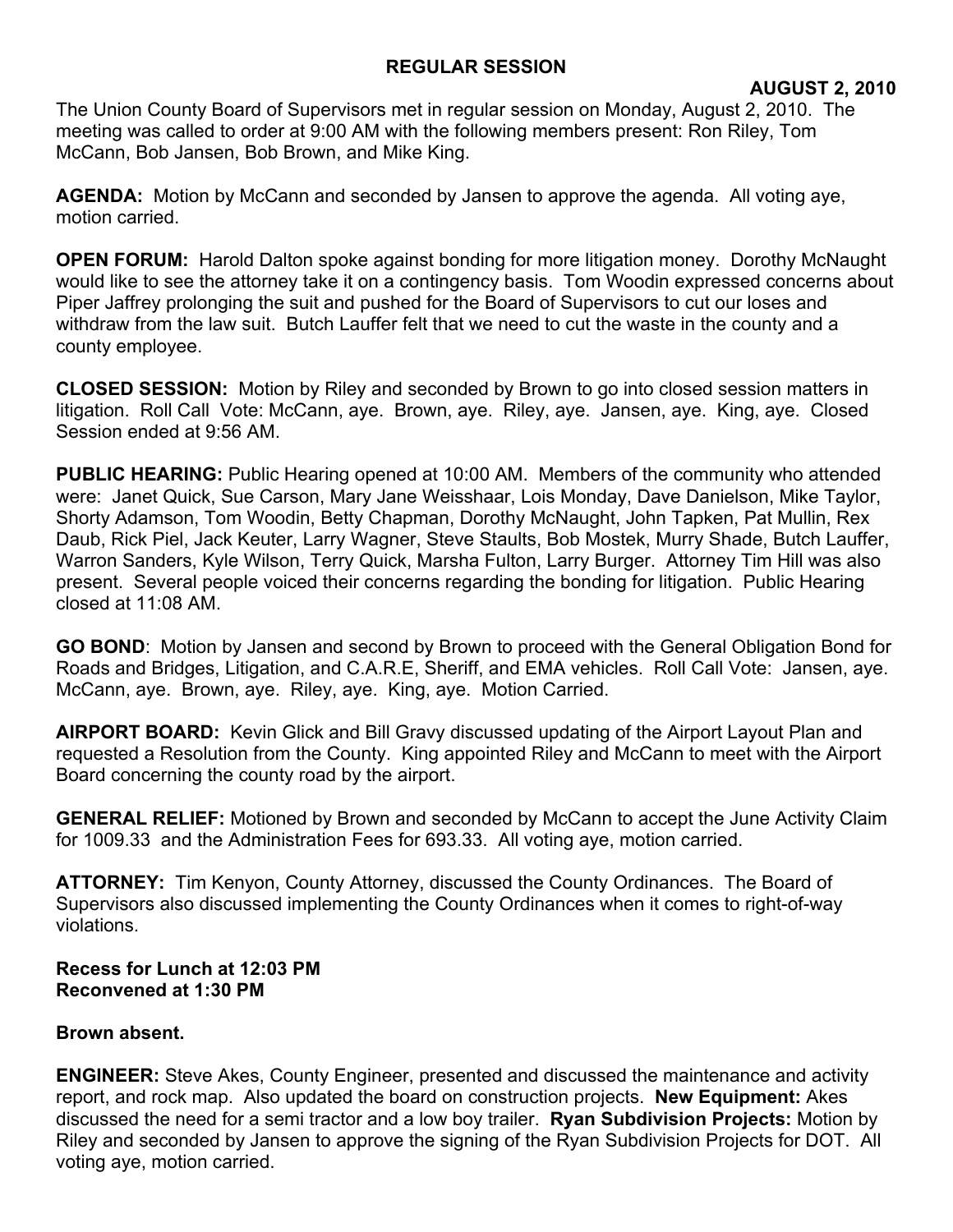## **REGULAR SESSION**

## **AUGUST 2, 2010**

The Union County Board of Supervisors met in regular session on Monday, August 2, 2010. The meeting was called to order at 9:00 AM with the following members present: Ron Riley, Tom McCann, Bob Jansen, Bob Brown, and Mike King.

**AGENDA:** Motion by McCann and seconded by Jansen to approve the agenda. All voting aye, motion carried.

**OPEN FORUM:** Harold Dalton spoke against bonding for more litigation money. Dorothy McNaught would like to see the attorney take it on a contingency basis. Tom Woodin expressed concerns about Piper Jaffrey prolonging the suit and pushed for the Board of Supervisors to cut our loses and withdraw from the law suit. Butch Lauffer felt that we need to cut the waste in the county and a county employee.

**CLOSED SESSION:** Motion by Riley and seconded by Brown to go into closed session matters in litigation. Roll Call Vote: McCann, aye. Brown, aye. Riley, aye. Jansen, aye. King, aye. Closed Session ended at 9:56 AM.

**PUBLIC HEARING:** Public Hearing opened at 10:00 AM. Members of the community who attended were: Janet Quick, Sue Carson, Mary Jane Weisshaar, Lois Monday, Dave Danielson, Mike Taylor, Shorty Adamson, Tom Woodin, Betty Chapman, Dorothy McNaught, John Tapken, Pat Mullin, Rex Daub, Rick Piel, Jack Keuter, Larry Wagner, Steve Staults, Bob Mostek, Murry Shade, Butch Lauffer, Warron Sanders, Kyle Wilson, Terry Quick, Marsha Fulton, Larry Burger. Attorney Tim Hill was also present. Several people voiced their concerns regarding the bonding for litigation. Public Hearing closed at 11:08 AM.

**GO BOND**: Motion by Jansen and second by Brown to proceed with the General Obligation Bond for Roads and Bridges, Litigation, and C.A.R.E, Sheriff, and EMA vehicles. Roll Call Vote: Jansen, aye. McCann, aye. Brown, aye. Riley, aye. King, aye. Motion Carried.

**AIRPORT BOARD:** Kevin Glick and Bill Gravy discussed updating of the Airport Layout Plan and requested a Resolution from the County. King appointed Riley and McCann to meet with the Airport Board concerning the county road by the airport.

**GENERAL RELIEF:** Motioned by Brown and seconded by McCann to accept the June Activity Claim for 1009.33 and the Administration Fees for 693.33. All voting aye, motion carried.

**ATTORNEY:** Tim Kenyon, County Attorney, discussed the County Ordinances. The Board of Supervisors also discussed implementing the County Ordinances when it comes to right-of-way violations.

**Recess for Lunch at 12:03 PM Reconvened at 1:30 PM**

## **Brown absent.**

**ENGINEER:** Steve Akes, County Engineer, presented and discussed the maintenance and activity report, and rock map. Also updated the board on construction projects. **New Equipment:** Akes discussed the need for a semi tractor and a low boy trailer. **Ryan Subdivision Projects:** Motion by Riley and seconded by Jansen to approve the signing of the Ryan Subdivision Projects for DOT. All voting aye, motion carried.